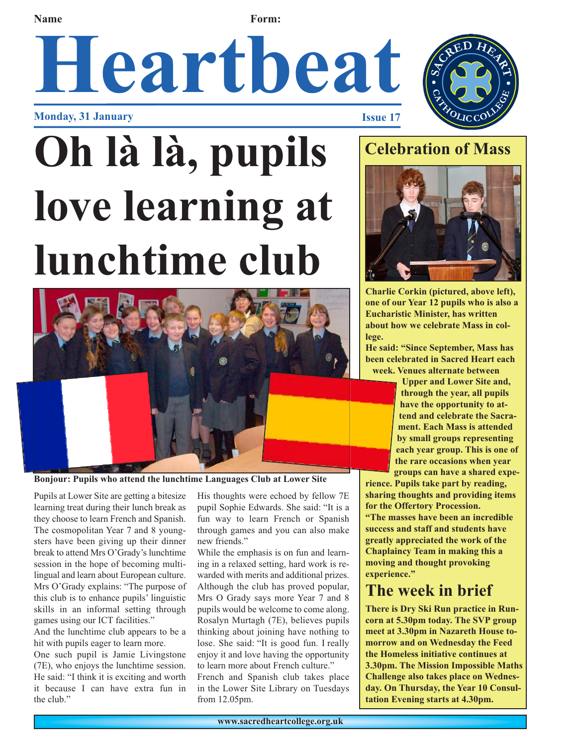**Name Form:** 

# **Heartbeat**

**Monday, 31 January Issue 17**

## **Oh là là, pupils love learning at lunchtime club**



**Bonjour: Pupils who attend the lunchtime Languages Club at Lower Site**

Pupils at Lower Site are getting a bitesize learning treat during their lunch break as they choose to learn French and Spanish. The cosmopolitan Year 7 and 8 youngsters have been giving up their dinner break to attend Mrs O'Grady's lunchtime session in the hope of becoming multilingual and learn about European culture. Mrs O'Grady explains: "The purpose of this club is to enhance pupils' linguistic skills in an informal setting through games using our ICT facilities."

And the lunchtime club appears to be a hit with pupils eager to learn more.

One such pupil is Jamie Livingstone (7E), who enjoys the lunchtime session. He said: "I think it is exciting and worth it because I can have extra fun in the club."

His thoughts were echoed by fellow 7E pupil Sophie Edwards. She said: "It is a fun way to learn French or Spanish through games and you can also make new friends."

While the emphasis is on fun and learning in a relaxed setting, hard work is rewarded with merits and additional prizes. Although the club has proved popular, Mrs O Grady says more Year 7 and 8 pupils would be welcome to come along. Rosalyn Murtagh (7E), believes pupils thinking about joining have nothing to lose. She said: "It is good fun. I really enjoy it and love having the opportunity to learn more about French culture." French and Spanish club takes place in the Lower Site Library on Tuesdays from 12.05pm.

### **Celebration of Mass**



**Charlie Corkin (pictured, above left), one of our Year 12 pupils who is also a Eucharistic Minister, has written about how we celebrate Mass in college.**

**He said: "Since September, Mass has been celebrated in Sacred Heart each week. Venues alternate between**

> **Upper and Lower Site and, through the year, all pupils have the opportunity to attend and celebrate the Sacrament. Each Mass is attended by small groups representing each year group. This is one of the rare occasions when year groups can have a shared expe-**

**rience. Pupils take part by reading, sharing thoughts and providing items for the Offertory Procession.**

**"The masses have been an incredible success and staff and students have greatly appreciated the work of the Chaplaincy Team in making this a moving and thought provoking experience."**

### **The week in brief**

**There is Dry Ski Run practice in Runcorn at 5.30pm today. The SVP group meet at 3.30pm in Nazareth House tomorrow and on Wednesday the Feed the Homeless initiative continues at 3.30pm. The Mission Impossible Maths Challenge also takes place on Wednesday. On Thursday, the Year 10 Consultation Evening starts at 4.30pm.**